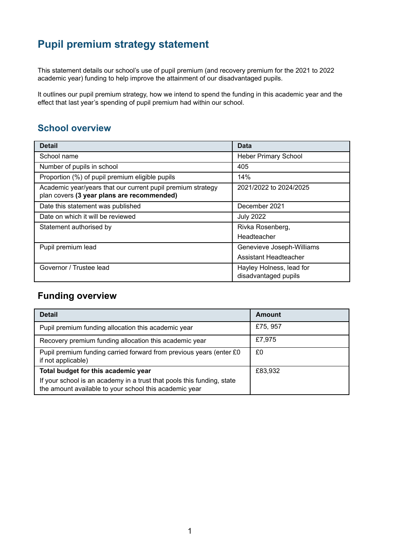# **Pupil premium strategy statement**

This statement details our school's use of pupil premium (and recovery premium for the 2021 to 2022 academic year) funding to help improve the attainment of our disadvantaged pupils.

It outlines our pupil premium strategy, how we intend to spend the funding in this academic year and the effect that last year's spending of pupil premium had within our school.

## **School overview**

| <b>Detail</b>                                                                                             | Data                                             |
|-----------------------------------------------------------------------------------------------------------|--------------------------------------------------|
| School name                                                                                               | <b>Heber Primary School</b>                      |
| Number of pupils in school                                                                                | 405                                              |
| Proportion (%) of pupil premium eligible pupils                                                           | 14%                                              |
| Academic year/years that our current pupil premium strategy<br>plan covers (3 year plans are recommended) | 2021/2022 to 2024/2025                           |
| Date this statement was published                                                                         | December 2021                                    |
| Date on which it will be reviewed                                                                         | <b>July 2022</b>                                 |
| Statement authorised by                                                                                   | Rivka Rosenberg,                                 |
|                                                                                                           | Headteacher                                      |
| Pupil premium lead                                                                                        | Genevieve Joseph-Williams                        |
|                                                                                                           | Assistant Headteacher                            |
| Governor / Trustee lead                                                                                   | Hayley Holness, lead for<br>disadvantaged pupils |

## **Funding overview**

| <b>Detail</b>                                                                                                                    | Amount   |
|----------------------------------------------------------------------------------------------------------------------------------|----------|
| Pupil premium funding allocation this academic year                                                                              | £75, 957 |
| Recovery premium funding allocation this academic year                                                                           | £7,975   |
| Pupil premium funding carried forward from previous years (enter £0<br>if not applicable)                                        | £0       |
| Total budget for this academic year                                                                                              | £83,932  |
| If your school is an academy in a trust that pools this funding, state<br>the amount available to your school this academic year |          |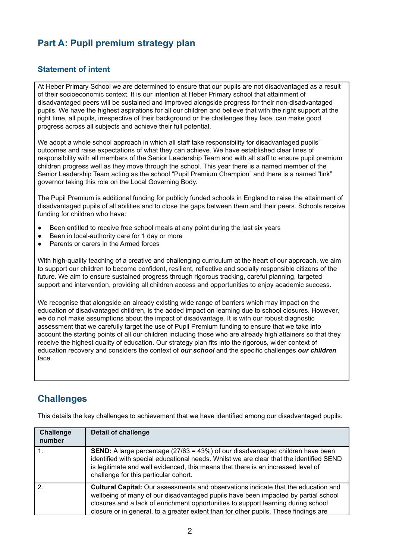## **Part A: Pupil premium strategy plan**

#### **Statement of intent**

At Heber Primary School we are determined to ensure that our pupils are not disadvantaged as a result of their socioeconomic context. It is our intention at Heber Primary school that attainment of disadvantaged peers will be sustained and improved alongside progress for their non-disadvantaged pupils. We have the highest aspirations for all our children and believe that with the right support at the right time, all pupils, irrespective of their background or the challenges they face, can make good progress across all subjects and achieve their full potential.

We adopt a whole school approach in which all staff take responsibility for disadvantaged pupils' outcomes and raise expectations of what they can achieve. We have established clear lines of responsibility with all members of the Senior Leadership Team and with all staff to ensure pupil premium children progress well as they move through the school. This year there is a named member of the Senior Leadership Team acting as the school "Pupil Premium Champion" and there is a named "link" governor taking this role on the Local Governing Body.

The Pupil Premium is additional funding for publicly funded schools in England to raise the attainment of disadvantaged pupils of all abilities and to close the gaps between them and their peers. Schools receive funding for children who have:

- Been entitled to receive free school meals at any point during the last six years
- Been in local-authority care for 1 day or more
- Parents or carers in the Armed forces

With high-quality teaching of a creative and challenging curriculum at the heart of our approach, we aim to support our children to become confident, resilient, reflective and socially responsible citizens of the future. We aim to ensure sustained progress through rigorous tracking, careful planning, targeted support and intervention, providing all children access and opportunities to enjoy academic success.

We recognise that alongside an already existing wide range of barriers which may impact on the education of disadvantaged children, is the added impact on learning due to school closures. However, we do not make assumptions about the impact of disadvantage. It is with our robust diagnostic assessment that we carefully target the use of Pupil Premium funding to ensure that we take into account the starting points of all our children including those who are already high attainers so that they receive the highest quality of education. Our strategy plan fits into the rigorous, wider context of education recovery and considers the context of *our school* and the specific challenges *our children* face.

## **Challenges**

| Challenge<br>number | <b>Detail of challenge</b>                                                                                                                                                                                                                                                                                                                                   |
|---------------------|--------------------------------------------------------------------------------------------------------------------------------------------------------------------------------------------------------------------------------------------------------------------------------------------------------------------------------------------------------------|
|                     | <b>SEND:</b> A large percentage (27/63 = 43%) of our disadvantaged children have been<br>identified with special educational needs. Whilst we are clear that the identified SEND<br>is legitimate and well evidenced, this means that there is an increased level of<br>challenge for this particular cohort.                                                |
| 2.                  | <b>Cultural Capital:</b> Our assessments and observations indicate that the education and<br>wellbeing of many of our disadvantaged pupils have been impacted by partial school<br>closures and a lack of enrichment opportunities to support learning during school<br>closure or in general, to a greater extent than for other pupils. These findings are |

This details the key challenges to achievement that we have identified among our disadvantaged pupils.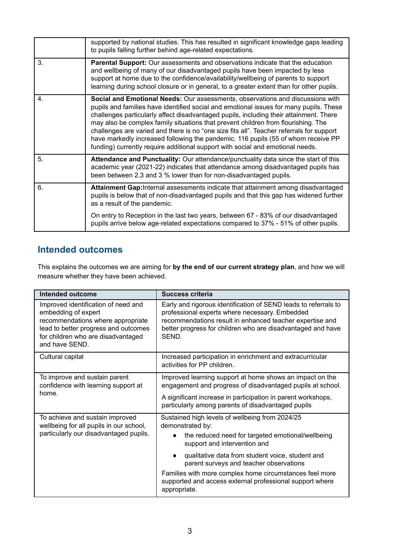|    | supported by national studies. This has resulted in significant knowledge gaps leading<br>to pupils falling further behind age-related expectations.                                                                                                                                                                                                                                                                                                                                                                                                                                                                       |
|----|----------------------------------------------------------------------------------------------------------------------------------------------------------------------------------------------------------------------------------------------------------------------------------------------------------------------------------------------------------------------------------------------------------------------------------------------------------------------------------------------------------------------------------------------------------------------------------------------------------------------------|
| 3. | <b>Parental Support:</b> Our assessments and observations indicate that the education<br>and wellbeing of many of our disadvantaged pupils have been impacted by less<br>support at home due to the confidence/availability/wellbeing of parents to support<br>learning during school closure or in general, to a greater extent than for other pupils.                                                                                                                                                                                                                                                                    |
| 4. | Social and Emotional Needs: Our assessments, observations and discussions with<br>pupils and families have identified social and emotional issues for many pupils. These<br>challenges particularly affect disadvantaged pupils, including their attainment. There<br>may also be complex family situations that prevent children from flourishing. The<br>challenges are varied and there is no "one size fits all". Teacher referrals for support<br>have markedly increased following the pandemic. 116 pupils (55 of whom receive PP<br>funding) currently require additional support with social and emotional needs. |
| 5. | Attendance and Punctuality: Our attendance/punctuality data since the start of this<br>academic year (2021-22) indicates that attendance among disadvantaged pupils has<br>been between 2.3 and 3 % lower than for non-disadvantaged pupils.                                                                                                                                                                                                                                                                                                                                                                               |
| 6. | Attainment Gap: Internal assessments indicate that attainment among disadvantaged<br>pupils is below that of non-disadvantaged pupils and that this gap has widened further<br>as a result of the pandemic.                                                                                                                                                                                                                                                                                                                                                                                                                |
|    | On entry to Reception in the last two years, between 67 - 83% of our disadvantaged<br>pupils arrive below age-related expectations compared to 37% - 51% of other pupils.                                                                                                                                                                                                                                                                                                                                                                                                                                                  |

## **Intended outcomes**

This explains the outcomes we are aiming for **by the end of our current strategy plan**, and how we will measure whether they have been achieved.

| Intended outcome                                                                                                                                                                                | <b>Success criteria</b>                                                                                                                                                                                                                               |  |
|-------------------------------------------------------------------------------------------------------------------------------------------------------------------------------------------------|-------------------------------------------------------------------------------------------------------------------------------------------------------------------------------------------------------------------------------------------------------|--|
| Improved identification of need and<br>embedding of expert<br>recommendations where appropriate<br>lead to better progress and outcomes<br>for children who are disadvantaged<br>and have SEND. | Early and rigorous identification of SEND leads to referrals to<br>professional experts where necessary. Embedded<br>recommendations result in enhanced teacher expertise and<br>better progress for children who are disadvantaged and have<br>SEND. |  |
| Cultural capital                                                                                                                                                                                | Increased participation in enrichment and extracurricular<br>activities for PP children.                                                                                                                                                              |  |
| To improve and sustain parent<br>confidence with learning support at                                                                                                                            | Improved learning support at home shows an impact on the<br>engagement and progress of disadvantaged pupils at school.                                                                                                                                |  |
| home.                                                                                                                                                                                           | A significant increase in participation in parent workshops,<br>particularly among parents of disadvantaged pupils                                                                                                                                    |  |
| To achieve and sustain improved<br>wellbeing for all pupils in our school,                                                                                                                      | Sustained high levels of wellbeing from 2024/25<br>demonstrated by:                                                                                                                                                                                   |  |
| particularly our disadvantaged pupils.                                                                                                                                                          | the reduced need for targeted emotional/wellbeing<br>support and intervention and                                                                                                                                                                     |  |
|                                                                                                                                                                                                 | qualitative data from student voice, student and<br>parent surveys and teacher observations                                                                                                                                                           |  |
|                                                                                                                                                                                                 | Families with more complex home circumstances feel more<br>supported and access external professional support where<br>appropriate.                                                                                                                   |  |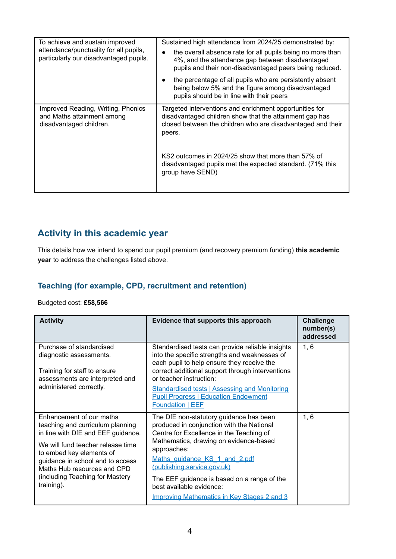| To achieve and sustain improved<br>attendance/punctuality for all pupils,<br>particularly our disadvantaged pupils. | Sustained high attendance from 2024/25 demonstrated by:<br>the overall absence rate for all pupils being no more than<br>4%, and the attendance gap between disadvantaged<br>pupils and their non-disadvantaged peers being reduced. |
|---------------------------------------------------------------------------------------------------------------------|--------------------------------------------------------------------------------------------------------------------------------------------------------------------------------------------------------------------------------------|
|                                                                                                                     | the percentage of all pupils who are persistently absent<br>being below 5% and the figure among disadvantaged<br>pupils should be in line with their peers                                                                           |
| Improved Reading, Writing, Phonics<br>and Maths attainment among<br>disadvantaged children.                         | Targeted interventions and enrichment opportunities for<br>disadvantaged children show that the attainment gap has<br>closed between the children who are disadvantaged and their<br>peers.                                          |
|                                                                                                                     | KS2 outcomes in 2024/25 show that more than 57% of<br>disadvantaged pupils met the expected standard. (71% this<br>group have SEND)                                                                                                  |

## **Activity in this academic year**

This details how we intend to spend our pupil premium (and recovery premium funding) **this academic year** to address the challenges listed above.

### **Teaching (for example, CPD, recruitment and retention)**

Budgeted cost: **£58,566**

| <b>Activity</b>                                                                                                                                                                                                                                                                         | Evidence that supports this approach                                                                                                                                                                                                                                                                                                                                                              | <b>Challenge</b><br>number(s)<br>addressed |
|-----------------------------------------------------------------------------------------------------------------------------------------------------------------------------------------------------------------------------------------------------------------------------------------|---------------------------------------------------------------------------------------------------------------------------------------------------------------------------------------------------------------------------------------------------------------------------------------------------------------------------------------------------------------------------------------------------|--------------------------------------------|
| Purchase of standardised<br>diagnostic assessments.<br>Training for staff to ensure<br>assessments are interpreted and<br>administered correctly.                                                                                                                                       | Standardised tests can provide reliable insights<br>into the specific strengths and weaknesses of<br>each pupil to help ensure they receive the<br>correct additional support through interventions<br>or teacher instruction:<br><b>Standardised tests   Assessing and Monitoring</b><br><b>Pupil Progress   Education Endowment</b><br><b>Foundation   EEF</b>                                  | 1, 6                                       |
| Enhancement of our maths<br>teaching and curriculum planning<br>in line with DfE and EEF guidance.<br>We will fund teacher release time<br>to embed key elements of<br>guidance in school and to access<br>Maths Hub resources and CPD<br>(including Teaching for Mastery<br>training). | The DfE non-statutory guidance has been<br>produced in conjunction with the National<br>Centre for Excellence in the Teaching of<br>Mathematics, drawing on evidence-based<br>approaches:<br>Maths guidance KS 1 and 2.pdf<br><u>(publishing.service.gov.uk)</u><br>The EEF guidance is based on a range of the<br>best available evidence:<br><b>Improving Mathematics in Key Stages 2 and 3</b> | 1, 6                                       |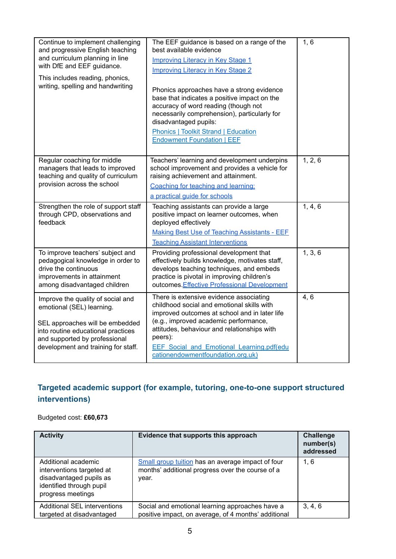| Continue to implement challenging<br>and progressive English teaching<br>and curriculum planning in line<br>with DfE and EEF guidance.<br>This includes reading, phonics,<br>writing, spelling and handwriting  | The EEF guidance is based on a range of the<br>best available evidence<br><b>Improving Literacy in Key Stage 1</b><br><b>Improving Literacy in Key Stage 2</b><br>Phonics approaches have a strong evidence<br>base that indicates a positive impact on the<br>accuracy of word reading (though not                                | 1, 6    |
|-----------------------------------------------------------------------------------------------------------------------------------------------------------------------------------------------------------------|------------------------------------------------------------------------------------------------------------------------------------------------------------------------------------------------------------------------------------------------------------------------------------------------------------------------------------|---------|
|                                                                                                                                                                                                                 | necessarily comprehension), particularly for<br>disadvantaged pupils:<br><b>Phonics   Toolkit Strand   Education</b><br><b>Endowment Foundation   EEF</b>                                                                                                                                                                          |         |
| Regular coaching for middle<br>managers that leads to improved<br>teaching and quality of curriculum<br>provision across the school                                                                             | Teachers' learning and development underpins<br>school improvement and provides a vehicle for<br>raising achievement and attainment.<br>Coaching for teaching and learning:<br>a practical guide for schools                                                                                                                       | 1, 2, 6 |
| Strengthen the role of support staff<br>through CPD, observations and<br>feedback                                                                                                                               | Teaching assistants can provide a large<br>positive impact on learner outcomes, when<br>deployed effectively<br><b>Making Best Use of Teaching Assistants - EEF</b><br><b>Teaching Assistant Interventions</b>                                                                                                                     | 1, 4, 6 |
| To improve teachers' subject and<br>pedagogical knowledge in order to<br>drive the continuous<br>improvements in attainment<br>among disadvantaged children                                                     | Providing professional development that<br>effectively builds knowledge, motivates staff,<br>develops teaching techniques, and embeds<br>practice is pivotal in improving children's<br>outcomes. Effective Professional Development                                                                                               | 1, 3, 6 |
| Improve the quality of social and<br>emotional (SEL) learning.<br>SEL approaches will be embedded<br>into routine educational practices<br>and supported by professional<br>development and training for staff. | There is extensive evidence associating<br>childhood social and emotional skills with<br>improved outcomes at school and in later life<br>(e.g., improved academic performance,<br>attitudes, behaviour and relationships with<br>peers):<br><b>EEF Social and Emotional Learning.pdf(edu</b><br>cationendowmentfoundation.org.uk) | 4, 6    |

## **Targeted academic support (for example, tutoring, one-to-one support structured interventions)**

Budgeted cost: **£60,673**

| <b>Activity</b>                                                                                                              | Evidence that supports this approach                                                                           | <b>Challenge</b><br>number(s)<br>addressed |
|------------------------------------------------------------------------------------------------------------------------------|----------------------------------------------------------------------------------------------------------------|--------------------------------------------|
| Additional academic<br>interventions targeted at<br>disadvantaged pupils as<br>identified through pupil<br>progress meetings | Small group tuition has an average impact of four<br>months' additional progress over the course of a<br>year. | 1, 6                                       |
| Additional SEL interventions<br>targeted at disadvantaged                                                                    | Social and emotional learning approaches have a<br>positive impact, on average, of 4 months' additional        | 3, 4, 6                                    |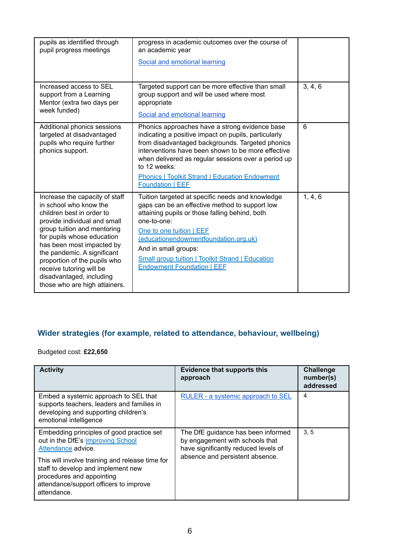| pupils as identified through<br>pupil progress meetings                                                                                                                                                                                                                                                                                                                 | progress in academic outcomes over the course of<br>an academic year<br>Social and emotional learning                                                                                                                                                                                                                                                                       |         |
|-------------------------------------------------------------------------------------------------------------------------------------------------------------------------------------------------------------------------------------------------------------------------------------------------------------------------------------------------------------------------|-----------------------------------------------------------------------------------------------------------------------------------------------------------------------------------------------------------------------------------------------------------------------------------------------------------------------------------------------------------------------------|---------|
| Increased access to SEL<br>support from a Learning<br>Mentor (extra two days per<br>week funded)                                                                                                                                                                                                                                                                        | Targeted support can be more effective than small<br>group support and will be used where most<br>appropriate<br>Social and emotional learning                                                                                                                                                                                                                              | 3, 4, 6 |
| Additional phonics sessions<br>targeted at disadvantaged<br>pupils who require further<br>phonics support.                                                                                                                                                                                                                                                              | Phonics approaches have a strong evidence base<br>indicating a positive impact on pupils, particularly<br>from disadvantaged backgrounds. Targeted phonics<br>interventions have been shown to be more effective<br>when delivered as regular sessions over a period up<br>to 12 weeks:<br><b>Phonics   Toolkit Strand   Education Endowment</b><br><b>Foundation   EEF</b> | 6       |
| Increase the capacity of staff<br>in school who know the<br>children best in order to<br>provide individual and small<br>group tuition and mentoring<br>for pupils whose education<br>has been most impacted by<br>the pandemic. A significant<br>proportion of the pupils who<br>receive tutoring will be<br>disadvantaged, including<br>those who are high attainers. | Tuition targeted at specific needs and knowledge<br>gaps can be an effective method to support low<br>attaining pupils or those falling behind, both<br>one-to-one:<br>One to one tuition   EEF<br>(educationendowmentfoundation.org.uk)<br>And in small groups:<br><b>Small group tuition   Toolkit Strand   Education</b><br><b>Endowment Foundation   EEF</b>            | 1, 4, 6 |

## **Wider strategies (for example, related to attendance, behaviour, wellbeing)**

Budgeted cost: **£22,650**

| <b>Activity</b>                                                                                                                                                                                                                                                                     | <b>Evidence that supports this</b><br>approach                                                                                                   | <b>Challenge</b><br>number(s)<br>addressed |
|-------------------------------------------------------------------------------------------------------------------------------------------------------------------------------------------------------------------------------------------------------------------------------------|--------------------------------------------------------------------------------------------------------------------------------------------------|--------------------------------------------|
| Embed a systemic approach to SEL that<br>supports teachers, leaders and families in<br>developing and supporting children's<br>emotional intelligence                                                                                                                               | RULER - a systemic approach to SEL                                                                                                               | 4                                          |
| Embedding principles of good practice set<br>out in the DfE's Improving School<br>Attendance advice.<br>This will involve training and release time for<br>staff to develop and implement new<br>procedures and appointing<br>attendance/support officers to improve<br>attendance. | The DfE guidance has been informed<br>by engagement with schools that<br>have significantly reduced levels of<br>absence and persistent absence. | 3.5                                        |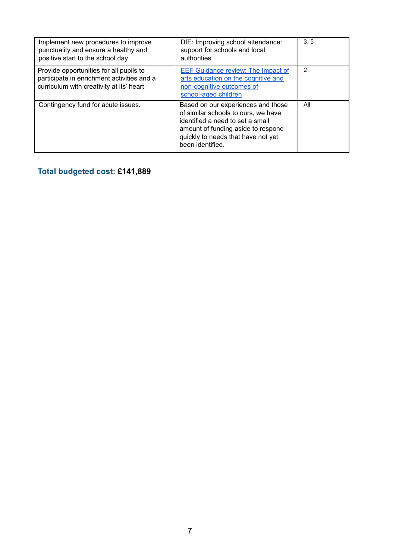| Implement new procedures to improve<br>punctuality and ensure a healthy and<br>positive start to the school day                   | DfE: Improving school attendance:<br>support for schools and local<br>authorities                                                                                                                             | 3.5 |
|-----------------------------------------------------------------------------------------------------------------------------------|---------------------------------------------------------------------------------------------------------------------------------------------------------------------------------------------------------------|-----|
| Provide opportunities for all pupils to<br>participate in enrichment activities and a<br>curriculum with creativity at its' heart | <b>EEF Guidance review: The Impact of</b><br>arts education on the cognitive and<br>non-cognitive outcomes of<br>school-aged children                                                                         | 2   |
| Contingency fund for acute issues.                                                                                                | Based on our experiences and those<br>of similar schools to ours, we have<br>identified a need to set a small<br>amount of funding aside to respond<br>quickly to needs that have not yet<br>been identified. | All |

**Total budgeted cost: £141,889**